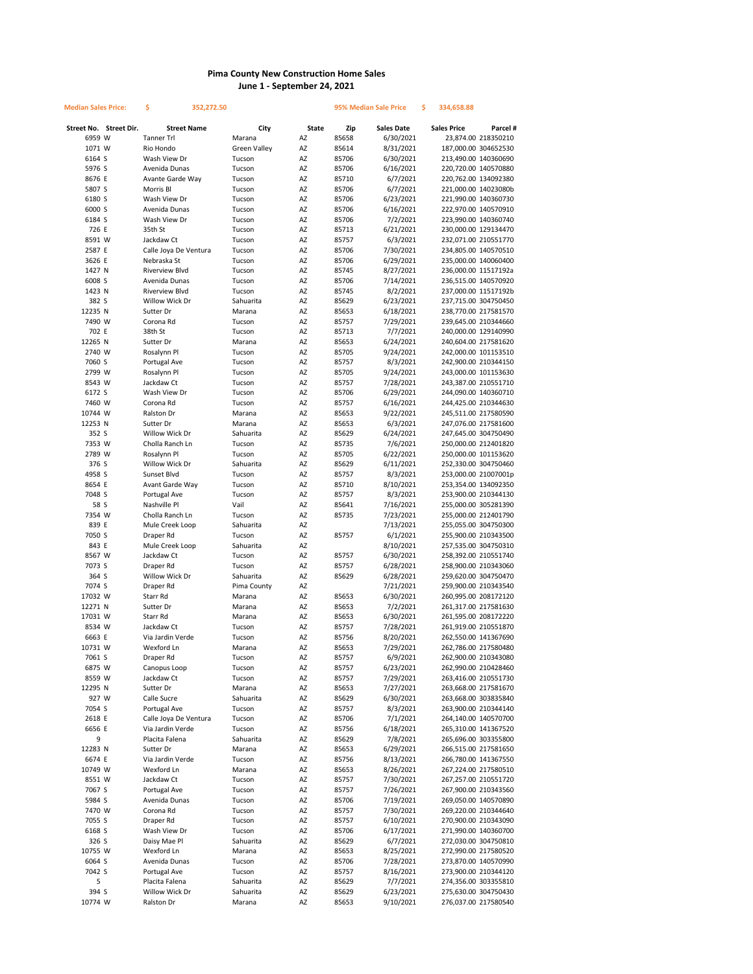## **Pima County New Construction Home Sales June 1 - September 24, 2021**

| Median Sales Price: |                        | \$<br>352,272.50            |                     |              | 95% Median Sale Price |                        | \$<br>334,658.88     |                                              |
|---------------------|------------------------|-----------------------------|---------------------|--------------|-----------------------|------------------------|----------------------|----------------------------------------------|
|                     | Street No. Street Dir. | <b>Street Name</b>          | City                | <b>State</b> | Zip                   | <b>Sales Date</b>      | <b>Sales Price</b>   | Parcel #                                     |
| 6959 W              |                        | <b>Tanner Trl</b>           | Marana              | AZ           | 85658                 | 6/30/2021              |                      | 23,874.00 218350210                          |
| 1071 W              |                        | Rio Hondo                   | <b>Green Valley</b> | AZ           | 85614                 | 8/31/2021              |                      | 187,000.00 304652530                         |
| 6164 S              |                        | Wash View Dr                | Tucson              | AZ           | 85706                 | 6/30/2021              |                      | 213,490.00 140360690                         |
| 5976 S              |                        | Avenida Dunas               | Tucson              | AZ           | 85706                 | 6/16/2021              |                      | 220,720.00 140570880                         |
| 8676 E              |                        | Avante Garde Way            | Tucson              | AZ           | 85710                 | 6/7/2021               |                      | 220,762.00 134092380                         |
| 5807 S              |                        | Morris Bl                   | Tucson              | AZ           | 85706                 | 6/7/2021               |                      | 221,000.00 14023080b                         |
| 6180 S              |                        | Wash View Dr                | Tucson              | AZ           | 85706                 | 6/23/2021              |                      | 221,990.00 140360730                         |
| 6000 S              |                        | Avenida Dunas               | Tucson              | AZ           | 85706                 | 6/16/2021              |                      | 222,970.00 140570910                         |
| 6184 S<br>726 E     |                        | Wash View Dr<br>35th St     | Tucson<br>Tucson    | AZ<br>AZ     | 85706<br>85713        | 7/2/2021<br>6/21/2021  |                      | 223,990.00 140360740<br>230,000.00 129134470 |
| 8591 W              |                        | Jackdaw Ct                  | Tucson              | AZ           | 85757                 | 6/3/2021               |                      | 232,071.00 210551770                         |
| 2587 E              |                        | Calle Joya De Ventura       | Tucson              | AZ           | 85706                 | 7/30/2021              |                      | 234,805.00 140570510                         |
| 3626 E              |                        | Nebraska St                 | Tucson              | AZ           | 85706                 | 6/29/2021              |                      | 235,000.00 140060400                         |
| 1427 N              |                        | <b>Riverview Blvd</b>       | Tucson              | AZ           | 85745                 | 8/27/2021              | 236,000.00 11517192a |                                              |
| 6008 S              |                        | Avenida Dunas               | Tucson              | AZ           | 85706                 | 7/14/2021              |                      | 236,515.00 140570920                         |
| 1423 N              |                        | <b>Riverview Blvd</b>       | Tucson              | AZ           | 85745                 | 8/2/2021               |                      | 237,000.00 11517192b                         |
| 382 S               |                        | Willow Wick Dr              | Sahuarita           | AZ           | 85629                 | 6/23/2021              |                      | 237,715.00 304750450                         |
| 12235 N             |                        | Sutter Dr                   | Marana              | AZ           | 85653                 | 6/18/2021              |                      | 238,770.00 217581570                         |
| 7490 W              |                        | Corona Rd                   | Tucson              | AZ           | 85757                 | 7/29/2021              |                      | 239,645.00 210344660                         |
| 702 E               |                        | 38th St                     | Tucson              | AZ           | 85713                 | 7/7/2021               |                      | 240,000.00 129140990                         |
| 12265 N             |                        | Sutter Dr                   | Marana              | AZ           | 85653                 | 6/24/2021              |                      | 240,604.00 217581620                         |
| 2740 W              |                        | Rosalynn Pl                 | Tucson              | AZ           | 85705                 | 9/24/2021              |                      | 242,000.00 101153510                         |
| 7060 S              |                        | Portugal Ave                | Tucson              | AZ           | 85757                 | 8/3/2021               |                      | 242,900.00 210344150                         |
| 2799 W              |                        | Rosalynn Pl                 | Tucson              | AZ           | 85705                 | 9/24/2021              |                      | 243,000.00 101153630                         |
| 8543 W              |                        | Jackdaw Ct                  | Tucson              | AZ           | 85757                 | 7/28/2021              |                      | 243,387.00 210551710                         |
| 6172 S              |                        | Wash View Dr                | Tucson              | AZ           | 85706                 | 6/29/2021              |                      | 244,090.00 140360710                         |
| 7460 W              |                        | Corona Rd                   | Tucson              | AZ           | 85757                 | 6/16/2021              |                      | 244,425.00 210344630                         |
| 10744 W             |                        | Ralston Dr                  | Marana              | AZ           | 85653                 | 9/22/2021              |                      | 245,511.00 217580590                         |
| 12253 N             |                        | Sutter Dr<br>Willow Wick Dr | Marana              | AZ<br>AZ     | 85653                 | 6/3/2021               |                      | 247,076.00 217581600                         |
| 352 S<br>7353 W     |                        | Cholla Ranch Ln             | Sahuarita<br>Tucson | AZ           | 85629<br>85735        | 6/24/2021<br>7/6/2021  |                      | 247,645.00 304750490<br>250,000.00 212401820 |
| 2789 W              |                        | Rosalynn Pl                 | Tucson              | AZ           | 85705                 | 6/22/2021              |                      | 250,000.00 101153620                         |
| 376 S               |                        | Willow Wick Dr              | Sahuarita           | AZ           | 85629                 | 6/11/2021              |                      | 252,330.00 304750460                         |
| 4958 S              |                        | Sunset Blvd                 | Tucson              | AZ           | 85757                 | 8/3/2021               |                      | 253,000.00 21007001p                         |
| 8654 E              |                        | Avant Garde Way             | Tucson              | AZ           | 85710                 | 8/10/2021              |                      | 253,354.00 134092350                         |
| 7048 S              |                        | Portugal Ave                | Tucson              | AZ           | 85757                 | 8/3/2021               |                      | 253,900.00 210344130                         |
| 58 S                |                        | Nashville Pl                | Vail                | AZ           | 85641                 | 7/16/2021              |                      | 255,000.00 305281390                         |
| 7354 W              |                        | Cholla Ranch Ln             | Tucson              | AZ           | 85735                 | 7/23/2021              |                      | 255,000.00 212401790                         |
| 839 E               |                        | Mule Creek Loop             | Sahuarita           | AZ           |                       | 7/13/2021              |                      | 255,055.00 304750300                         |
| 7050 S              |                        | Draper Rd                   | Tucson              | AZ           | 85757                 | 6/1/2021               |                      | 255,900.00 210343500                         |
| 843 E               |                        | Mule Creek Loop             | Sahuarita           | AZ           |                       | 8/10/2021              | 257,535.00 304750310 |                                              |
| 8567 W              |                        | Jackdaw Ct                  | Tucson              | AZ           | 85757                 | 6/30/2021              |                      | 258,392.00 210551740                         |
| 7073 S              |                        | Draper Rd                   | Tucson              | AZ           | 85757                 | 6/28/2021              |                      | 258,900.00 210343060                         |
| 364 S               |                        | Willow Wick Dr              | Sahuarita           | AZ           | 85629                 | 6/28/2021              |                      | 259,620.00 304750470                         |
| 7074 S              |                        | Draper Rd                   | Pima County         | AZ           |                       | 7/21/2021              |                      | 259,900.00 210343540                         |
| 17032 W             |                        | Starr Rd                    | Marana              | AZ           | 85653                 | 6/30/2021              |                      | 260,995.00 208172120                         |
| 12271 N<br>17031 W  |                        | Sutter Dr<br>Starr Rd       | Marana              | AZ<br>AZ     | 85653                 | 7/2/2021               |                      | 261,317.00 217581630<br>261,595.00 208172220 |
| 8534 W              |                        | Jackdaw Ct                  | Marana<br>Tucson    | AZ           | 85653<br>85757        | 6/30/2021<br>7/28/2021 |                      | 261,919.00 210551870                         |
| 6663 E              |                        | Via Jardin Verde            | Tucson              | AZ           | 85756                 | 8/20/2021              |                      | 262,550.00 141367690                         |
| 10731 W             |                        | Wexford Ln                  | Marana              | AZ           | 85653                 | 7/29/2021              |                      | 262,786.00 217580480                         |
| 7061 S              |                        | Draper Rd                   | Tucson              | AZ           | 85757                 | 6/9/2021               |                      | 262,900.00 210343080                         |
| 6875 W              |                        | Canopus Loop                | Tucson              | ΑZ           | 85757                 | 6/23/2021              |                      | 262,990.00 210428460                         |
| 8559 W              |                        | Jackdaw Ct                  | Tucson              | AZ           | 85757                 | 7/29/2021              |                      | 263,416.00 210551730                         |
| 12295 N             |                        | Sutter Dr                   | Marana              | AZ           | 85653                 | 7/27/2021              |                      | 263,668.00 217581670                         |
| 927 W               |                        | Calle Sucre                 | Sahuarita           | ΑZ           | 85629                 | 6/30/2021              |                      | 263,668.00 303835840                         |
| 7054 S              |                        | Portugal Ave                | Tucson              | AZ           | 85757                 | 8/3/2021               |                      | 263,900.00 210344140                         |
| 2618 E              |                        | Calle Joya De Ventura       | Tucson              | AZ           | 85706                 | 7/1/2021               |                      | 264,140.00 140570700                         |
| 6656 E              |                        | Via Jardin Verde            | Tucson              | AZ           | 85756                 | 6/18/2021              |                      | 265,310.00 141367520                         |
| 9                   |                        | Placita Falena              | Sahuarita           | ΑZ           | 85629                 | 7/8/2021               |                      | 265,696.00 303355800                         |
| 12283 N             |                        | Sutter Dr                   | Marana              | AZ           | 85653                 | 6/29/2021              |                      | 266,515.00 217581650                         |
| 6674 E              |                        | Via Jardin Verde            | Tucson              | ΑZ           | 85756                 | 8/13/2021              |                      | 266,780.00 141367550                         |
| 10749 W             |                        | Wexford Ln                  | Marana              | AZ           | 85653                 | 8/26/2021              |                      | 267,224.00 217580510                         |
| 8551 W              |                        | Jackdaw Ct                  | Tucson              | ΑZ           | 85757                 | 7/30/2021              |                      | 267,257.00 210551720                         |
| 7067 S              |                        | Portugal Ave                | Tucson              | ΑZ           | 85757                 | 7/26/2021              |                      | 267,900.00 210343560                         |
| 5984 S              |                        | Avenida Dunas<br>Corona Rd  | Tucson<br>Tucson    | AZ<br>AZ     | 85706                 | 7/19/2021<br>7/30/2021 |                      | 269,050.00 140570890                         |
| 7470 W<br>7055 S    |                        | Draper Rd                   | Tucson              | AZ           | 85757<br>85757        | 6/10/2021              |                      | 269,220.00 210344640<br>270,900.00 210343090 |
| 6168 S              |                        | Wash View Dr                | Tucson              | AZ           | 85706                 | 6/17/2021              |                      | 271,990.00 140360700                         |
| 326 S               |                        | Daisy Mae Pl                | Sahuarita           | ΑZ           | 85629                 | 6/7/2021               |                      | 272,030.00 304750810                         |
| 10755 W             |                        | Wexford Ln                  | Marana              | AZ           | 85653                 | 8/25/2021              |                      | 272,990.00 217580520                         |
| 6064 S              |                        | Avenida Dunas               | Tucson              | ΑZ           | 85706                 | 7/28/2021              |                      | 273,870.00 140570990                         |
| 7042 S              |                        | Portugal Ave                | Tucson              | ΑZ           | 85757                 | 8/16/2021              |                      | 273,900.00 210344120                         |
| 5                   |                        | Placita Falena              | Sahuarita           | ΑZ           | 85629                 | 7/7/2021               |                      | 274,356.00 303355810                         |
| 394 S               |                        | Willow Wick Dr              | Sahuarita           | ΑZ           | 85629                 | 6/23/2021              |                      | 275,630.00 304750430                         |
| 10774 W             |                        | Ralston Dr                  | Marana              | AZ           | 85653                 | 9/10/2021              |                      | 276,037.00 217580540                         |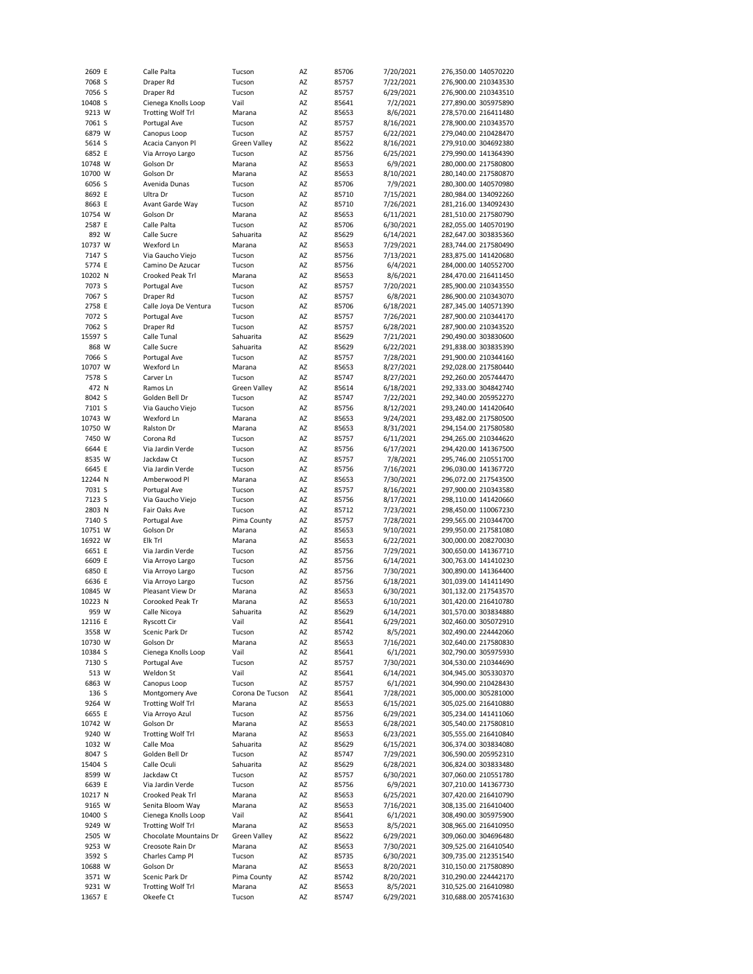| 2609 E            | Calle Palta                           | Tucson              | AZ       | 85706          | 7/20/2021             | 276,350.00 140570220                         |
|-------------------|---------------------------------------|---------------------|----------|----------------|-----------------------|----------------------------------------------|
| 7068 S            | Draper Rd                             | Tucson              | AZ       | 85757          | 7/22/2021             | 276,900.00 210343530                         |
| 7056 S            | Draper Rd                             | Tucson              | AZ       | 85757          | 6/29/2021             | 276,900.00 210343510                         |
| 10408 S           | Cienega Knolls Loop                   | Vail                | AZ       | 85641          | 7/2/2021              | 277,890.00 305975890                         |
| 9213 W            | <b>Trotting Wolf Trl</b>              | Marana              | AZ       | 85653          | 8/6/2021              | 278,570.00 216411480                         |
| 7061 S            | Portugal Ave                          | Tucson              | AZ       | 85757          | 8/16/2021             | 278,900.00 210343570                         |
| 6879 W            | Canopus Loop                          | Tucson              | AZ       | 85757          | 6/22/2021             | 279,040.00 210428470                         |
| 5614 S            | Acacia Canyon Pl                      | <b>Green Valley</b> | AZ       | 85622          | 8/16/2021             | 279,910.00 304692380                         |
| 6852 E            | Via Arroyo Largo                      | Tucson              | AZ       | 85756          | 6/25/2021             | 279,990.00 141364390                         |
| 10748 W           | Golson Dr                             | Marana              | AZ       | 85653          | 6/9/2021              | 280,000.00 217580800                         |
|                   |                                       |                     |          |                |                       |                                              |
| 10700 W           | Golson Dr                             | Marana              | AZ       | 85653          | 8/10/2021             | 280,140.00 217580870                         |
| 6056 S            | Avenida Dunas                         | Tucson              | AZ       | 85706          | 7/9/2021              | 280,300.00 140570980                         |
| 8692 E            | Ultra Dr                              | Tucson              | AZ       | 85710          | 7/15/2021             | 280,984.00 134092260                         |
| 8663 E            | Avant Garde Way                       | Tucson              | AZ       | 85710          | 7/26/2021             | 281,216.00 134092430                         |
| 10754 W           | Golson Dr                             | Marana              | AZ       | 85653          | 6/11/2021             | 281,510.00 217580790                         |
| 2587 E            | Calle Palta                           | Tucson              | AZ       | 85706          | 6/30/2021             | 282,055.00 140570190                         |
| 892 W             | Calle Sucre                           | Sahuarita           | AZ       | 85629          | 6/14/2021             | 282,647.00 303835360                         |
| 10737 W           | Wexford Ln                            | Marana              | AZ       | 85653          | 7/29/2021             | 283,744.00 217580490                         |
| 7147 S            | Via Gaucho Viejo                      | Tucson              | AZ       | 85756          | 7/13/2021             | 283,875.00 141420680                         |
| 5774 E            | Camino De Azucar                      | Tucson              | AZ       | 85756          | 6/4/2021              | 284,000.00 140552700                         |
| 10202 N           | Crooked Peak Trl                      | Marana              | AZ       | 85653          | 8/6/2021              | 284,470.00 216411450                         |
|                   |                                       |                     |          |                |                       |                                              |
| 7073 S            | Portugal Ave                          | Tucson              | AZ       | 85757          | 7/20/2021             | 285,900.00 210343550                         |
| 7067 S            | Draper Rd                             | Tucson              | AZ       | 85757          | 6/8/2021              | 286,900.00 210343070                         |
| 2758 E            | Calle Joya De Ventura                 | Tucson              | AZ       | 85706          | 6/18/2021             | 287,345.00 140571390                         |
| 7072 S            | Portugal Ave                          | Tucson              | AZ       | 85757          | 7/26/2021             | 287,900.00 210344170                         |
| 7062 S            | Draper Rd                             | Tucson              | AZ       | 85757          | 6/28/2021             | 287,900.00 210343520                         |
| 15597 S           | Calle Tunal                           | Sahuarita           | AZ       | 85629          | 7/21/2021             | 290,490.00 303830600                         |
| 868 W             | Calle Sucre                           | Sahuarita           | AZ       | 85629          | 6/22/2021             | 291,838.00 303835390                         |
| 7066 S            | Portugal Ave                          | Tucson              | AZ       | 85757          | 7/28/2021             | 291,900.00 210344160                         |
| 10707 W           | Wexford Ln                            | Marana              | AZ       | 85653          | 8/27/2021             | 292,028.00 217580440                         |
| 7578 S            | Carver Ln                             | Tucson              | AZ       | 85747          | 8/27/2021             | 292,260.00 205744470                         |
|                   | Ramos Ln                              |                     |          |                |                       | 292,333.00 304842740                         |
| 472 N             |                                       | <b>Green Valley</b> | AZ       | 85614          | 6/18/2021             |                                              |
| 8042 S            | Golden Bell Dr                        | Tucson              | AZ       | 85747          | 7/22/2021             | 292,340.00 205952270                         |
| 7101 S            | Via Gaucho Viejo                      | Tucson              | AZ       | 85756          | 8/12/2021             | 293,240.00 141420640                         |
| 10743 W           | Wexford Ln                            | Marana              | AZ       | 85653          | 9/24/2021             | 293,482.00 217580500                         |
| 10750 W           | Ralston Dr                            | Marana              | AZ       | 85653          | 8/31/2021             | 294,154.00 217580580                         |
| 7450 W            | Corona Rd                             | Tucson              | AZ       | 85757          | 6/11/2021             | 294,265.00 210344620                         |
| 6644 E            | Via Jardin Verde                      | Tucson              | AZ       | 85756          | 6/17/2021             | 294,420.00 141367500                         |
| 8535 W            | Jackdaw Ct                            | Tucson              | AZ       | 85757          | 7/8/2021              | 295,746.00 210551700                         |
| 6645 E            | Via Jardin Verde                      | Tucson              | AZ       | 85756          | 7/16/2021             | 296,030.00 141367720                         |
| 12244 N           | Amberwood Pl                          | Marana              | AZ       | 85653          | 7/30/2021             | 296,072.00 217543500                         |
| 7031 S            | Portugal Ave                          | Tucson              | AZ       | 85757          | 8/16/2021             | 297,900.00 210343580                         |
| 7123 S            | Via Gaucho Viejo                      | Tucson              | AZ       | 85756          | 8/17/2021             | 298,110.00 141420660                         |
|                   |                                       |                     |          |                |                       |                                              |
| 2803 N            | Fair Oaks Ave                         | Tucson              | AZ       | 85712          | 7/23/2021             | 298,450.00 110067230                         |
| 7140 S            | Portugal Ave                          | Pima County         | AZ       | 85757          | 7/28/2021             | 299,565.00 210344700                         |
| 10751 W           | Golson Dr                             | Marana              | AZ       | 85653          | 9/10/2021             | 299,950.00 217581080                         |
| 16922 W           | Elk Trl                               | Marana              | AZ       | 85653          | 6/22/2021             | 300,000.00 208270030                         |
| 6651 E            | Via Jardin Verde                      | Tucson              | AZ       | 85756          | 7/29/2021             | 300,650.00 141367710                         |
| 6609 E            | Via Arroyo Largo                      | Tucson              | AZ       | 85756          | 6/14/2021             | 300,763.00 141410230                         |
| 6850 E            | Via Arroyo Largo                      | Tucson              | AZ       | 85756          | 7/30/2021             | 300,890.00 141364400                         |
| 6636 E            | Via Arroyo Largo                      | Tucson              | AZ       | 85756          | 6/18/2021             | 301,039.00 141411490                         |
| 10845 W           | Pleasant View Dr                      | Marana              | AZ       | 85653          | 6/30/2021             | 301,132.00 217543570                         |
| 10223 N           | Corooked Peak Tr                      | Marana              | AZ       | 85653          | 6/10/2021             | 301,420.00 216410780                         |
| 959 W             | Calle Nicoya                          | Sahuarita           | AZ       | 85629          | 6/14/2021             |                                              |
|                   |                                       |                     | AZ       |                |                       |                                              |
| 12116 E           | Ryscott Cir                           | Vail                |          |                |                       | 301,570.00 303834880                         |
| 3558 W            |                                       |                     |          | 85641          | 6/29/2021             | 302,460.00 305072910                         |
| 10730 W           | Scenic Park Dr                        | Tucson              | ΑZ       | 85742          | 8/5/2021              | 302,490.00 224442060                         |
| 10384 S           | Golson Dr                             | Marana              | AZ       | 85653          | 7/16/2021             | 302,640.00 217580830                         |
| 7130 S            | Cienega Knolls Loop                   | Vail                | AZ       | 85641          | 6/1/2021              | 302,790.00 305975930                         |
|                   | Portugal Ave                          | Tucson              | ΑZ       | 85757          | 7/30/2021             | 304,530.00 210344690                         |
| 513 W             | Weldon St                             | Vail                | ΑZ       | 85641          | 6/14/2021             | 304,945.00 305330370                         |
| 6863 W            | Canopus Loop                          | Tucson              | AZ       | 85757          | 6/1/2021              | 304,990.00 210428430                         |
| 136 S             | Montgomery Ave                        | Corona De Tucson    | AZ       | 85641          | 7/28/2021             | 305,000.00 305281000                         |
|                   |                                       |                     |          |                |                       |                                              |
| 9264 W            | <b>Trotting Wolf Trl</b>              | Marana              | ΑZ       | 85653          | 6/15/2021             | 305,025.00 216410880                         |
| 6655 E            | Via Arroyo Azul                       | Tucson              | AZ       | 85756          | 6/29/2021             | 305,234.00 141411060                         |
| 10742 W           | Golson Dr                             | Marana              | AZ       | 85653          | 6/28/2021             | 305,540.00 217580810                         |
| 9240 W            | <b>Trotting Wolf Trl</b>              | Marana              | ΑZ       | 85653          | 6/23/2021             | 305,555.00 216410840                         |
| 1032 W            | Calle Moa                             | Sahuarita           | ΑZ       | 85629          | 6/15/2021             | 306,374.00 303834080                         |
| 8047 S            | Golden Bell Dr                        | Tucson              | ΑZ       | 85747          | 7/29/2021             | 306,590.00 205952310                         |
| 15404 S           | Calle Oculi                           | Sahuarita           | AZ       | 85629          | 6/28/2021             | 306,824.00 303833480                         |
| 8599 W            | Jackdaw Ct                            | Tucson              | ΑZ       | 85757          | 6/30/2021             | 307,060.00 210551780                         |
| 6639 E            | Via Jardin Verde                      | Tucson              | AZ       | 85756          | 6/9/2021              | 307,210.00 141367730                         |
| 10217 N           | Crooked Peak Trl                      | Marana              | ΑZ       | 85653          | 6/25/2021             | 307,420.00 216410790                         |
| 9165 W            | Senita Bloom Way                      | Marana              | AZ       | 85653          | 7/16/2021             | 308,135.00 216410400                         |
| 10400 S           | Cienega Knolls Loop                   | Vail                | ΑZ       | 85641          | 6/1/2021              | 308,490.00 305975900                         |
| 9249 W            | <b>Trotting Wolf Trl</b>              | Marana              | AZ       | 85653          | 8/5/2021              | 308,965.00 216410950                         |
|                   | Chocolate Mountains Dr                |                     |          |                |                       |                                              |
| 2505 W            |                                       | <b>Green Valley</b> | ΑZ       | 85622          | 6/29/2021             | 309,060.00 304696480                         |
| 9253 W            | Creosote Rain Dr                      | Marana              | AZ       | 85653          | 7/30/2021             | 309,525.00 216410540                         |
| 3592 S            | Charles Camp Pl                       | Tucson              | ΑZ       | 85735          | 6/30/2021             | 309,735.00 212351540                         |
| 10688 W           | Golson Dr                             | Marana              | ΑZ       | 85653          | 8/20/2021             | 310,150.00 217580890                         |
| 3571 W            | Scenic Park Dr                        | Pima County         | ΑZ       | 85742          | 8/20/2021             | 310,290.00 224442170                         |
| 9231 W<br>13657 E | <b>Trotting Wolf Trl</b><br>Okeefe Ct | Marana<br>Tucson    | ΑZ<br>ΑZ | 85653<br>85747 | 8/5/2021<br>6/29/2021 | 310,525.00 216410980<br>310,688.00 205741630 |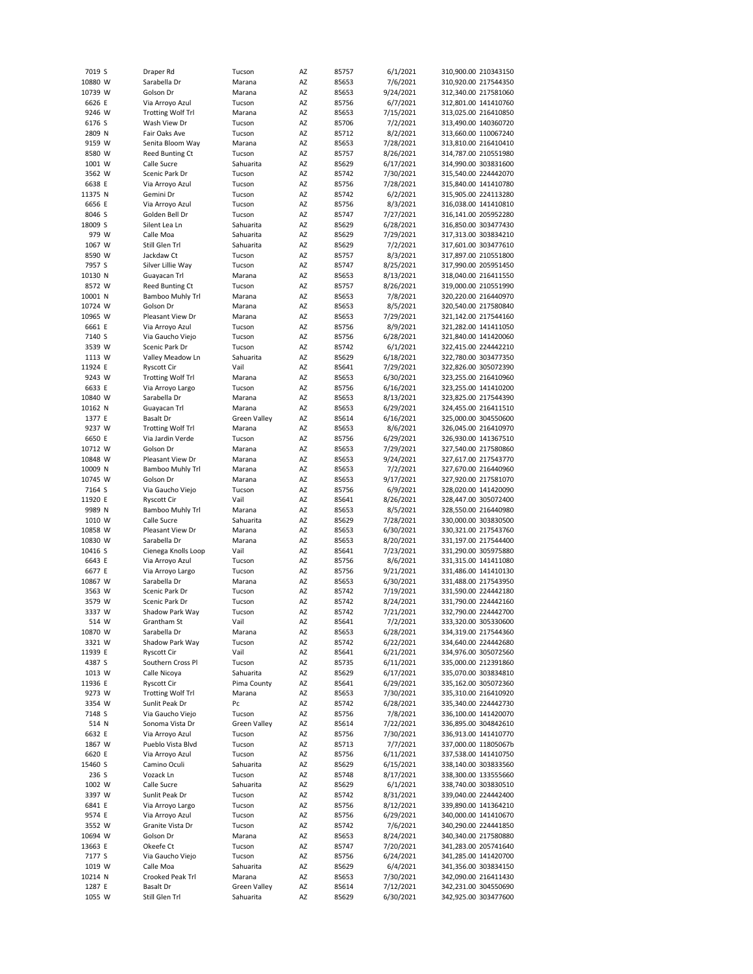| 7019 S  | Draper Rd                | Tucson              | AZ       | 85757 | 6/1/2021  | 310,900.00 210343150 |
|---------|--------------------------|---------------------|----------|-------|-----------|----------------------|
| 10880 W | Sarabella Dr             | Marana              | AZ       | 85653 | 7/6/2021  | 310,920.00 217544350 |
| 10739 W | Golson Dr                | Marana              | ΑZ       | 85653 | 9/24/2021 | 312,340.00 217581060 |
| 6626 E  | Via Arroyo Azul          | Tucson              | AZ       | 85756 | 6/7/2021  | 312,801.00 141410760 |
| 9246 W  | <b>Trotting Wolf Trl</b> | Marana              | AZ       | 85653 | 7/15/2021 | 313,025.00 216410850 |
| 6176 S  | Wash View Dr             | Tucson              | AZ       | 85706 | 7/2/2021  | 313,490.00 140360720 |
| 2809 N  | Fair Oaks Ave            | Tucson              | AZ       | 85712 | 8/2/2021  | 313,660.00 110067240 |
| 9159 W  | Senita Bloom Way         | Marana              | ΑZ       | 85653 | 7/28/2021 | 313,810.00 216410410 |
| 8580 W  | <b>Reed Bunting Ct</b>   | Tucson              | ΑZ       | 85757 | 8/26/2021 | 314,787.00 210551980 |
|         |                          |                     |          |       |           |                      |
| 1001 W  | Calle Sucre              | Sahuarita           | AZ       | 85629 | 6/17/2021 | 314,990.00 303831600 |
| 3562 W  | Scenic Park Dr           | Tucson              | ΑZ       | 85742 | 7/30/2021 | 315,540.00 224442070 |
| 6638 E  | Via Arroyo Azul          | Tucson              | AZ       | 85756 | 7/28/2021 | 315,840.00 141410780 |
| 11375 N | Gemini Dr                | Tucson              | ΑZ       | 85742 | 6/2/2021  | 315,905.00 224113280 |
| 6656 E  | Via Arroyo Azul          | Tucson              | ΑZ       | 85756 | 8/3/2021  | 316,038.00 141410810 |
| 8046 S  | Golden Bell Dr           | Tucson              | AZ       | 85747 | 7/27/2021 | 316,141.00 205952280 |
| 18009 S | Silent Lea Ln            | Sahuarita           | AZ       | 85629 | 6/28/2021 | 316,850.00 303477430 |
| 979 W   | Calle Moa                | Sahuarita           | ΑZ       | 85629 | 7/29/2021 | 317,313.00 303834210 |
| 1067 W  | Still Glen Trl           | Sahuarita           | AZ       | 85629 | 7/2/2021  | 317,601.00 303477610 |
| 8590 W  | Jackdaw Ct               | Tucson              | ΑZ       | 85757 | 8/3/2021  | 317,897.00 210551800 |
| 7957 S  | Silver Lillie Way        | Tucson              | AZ       | 85747 | 8/25/2021 | 317,990.00 205951450 |
| 10130 N | Guayacan Trl             | Marana              | ΑZ       | 85653 | 8/13/2021 | 318,040.00 216411550 |
|         |                          |                     |          |       |           |                      |
| 8572 W  | <b>Reed Bunting Ct</b>   | Tucson              | ΑZ       | 85757 | 8/26/2021 | 319,000.00 210551990 |
| 10001 N | Bamboo Muhly Trl         | Marana              | AZ       | 85653 | 7/8/2021  | 320,220.00 216440970 |
| 10724 W | Golson Dr                | Marana              | AZ       | 85653 | 8/5/2021  | 320,540.00 217580840 |
| 10965 W | Pleasant View Dr         | Marana              | AZ       | 85653 | 7/29/2021 | 321,142.00 217544160 |
| 6661 E  | Via Arroyo Azul          | Tucson              | AZ       | 85756 | 8/9/2021  | 321,282.00 141411050 |
| 7140 S  | Via Gaucho Viejo         | Tucson              | AZ       | 85756 | 6/28/2021 | 321,840.00 141420060 |
| 3539 W  | Scenic Park Dr           | Tucson              | AZ       | 85742 | 6/1/2021  | 322,415.00 224442210 |
| 1113 W  | Valley Meadow Ln         | Sahuarita           | ΑZ       | 85629 | 6/18/2021 | 322,780.00 303477350 |
| 11924 E | <b>Ryscott Cir</b>       | Vail                | ΑZ       | 85641 | 7/29/2021 | 322,826.00 305072390 |
| 9243 W  | <b>Trotting Wolf Trl</b> | Marana              | AZ       | 85653 | 6/30/2021 | 323,255.00 216410960 |
| 6633 E  | Via Arroyo Largo         | Tucson              | ΑZ       | 85756 | 6/16/2021 | 323,255.00 141410200 |
|         |                          | Marana              |          |       |           |                      |
| 10840 W | Sarabella Dr             |                     | AZ       | 85653 | 8/13/2021 | 323,825.00 217544390 |
| 10162 N | Guayacan Trl             | Marana              | AZ       | 85653 | 6/29/2021 | 324,455.00 216411510 |
| 1377 E  | <b>Basalt Dr</b>         | <b>Green Valley</b> | ΑZ       | 85614 | 6/16/2021 | 325,000.00 304550600 |
| 9237 W  | <b>Trotting Wolf Trl</b> | Marana              | AZ       | 85653 | 8/6/2021  | 326,045.00 216410970 |
| 6650 E  | Via Jardin Verde         | Tucson              | AZ       | 85756 | 6/29/2021 | 326,930.00 141367510 |
| 10712 W | Golson Dr                | Marana              | ΑZ       | 85653 | 7/29/2021 | 327,540.00 217580860 |
| 10848 W | Pleasant View Dr         | Marana              | AZ       | 85653 | 9/24/2021 | 327,617.00 217543770 |
| 10009 N |                          |                     |          |       |           |                      |
|         | Bamboo Muhly Trl         | Marana              | ΑZ       | 85653 | 7/2/2021  | 327,670.00 216440960 |
| 10745 W | Golson Dr                | Marana              | AZ       | 85653 | 9/17/2021 | 327,920.00 217581070 |
|         |                          |                     |          |       |           |                      |
| 7164 S  | Via Gaucho Viejo         | Tucson              | AZ       | 85756 | 6/9/2021  | 328,020.00 141420090 |
| 11920 E | <b>Ryscott Cir</b>       | Vail                | AZ       | 85641 | 8/26/2021 | 328,447.00 305072400 |
| 9989 N  | Bamboo Muhly Trl         | Marana              | AZ       | 85653 | 8/5/2021  | 328,550.00 216440980 |
| 1010 W  | Calle Sucre              | Sahuarita           | ΑZ       | 85629 | 7/28/2021 | 330,000.00 303830500 |
| 10858 W | Pleasant View Dr         | Marana              | AZ       | 85653 | 6/30/2021 | 330,321.00 217543760 |
| 10830 W | Sarabella Dr             | Marana              | AZ       | 85653 | 8/20/2021 | 331,197.00 217544400 |
| 10416 S | Cienega Knolls Loop      | Vail                | AZ       | 85641 | 7/23/2021 | 331,290.00 305975880 |
| 6643 E  | Via Arroyo Azul          | Tucson              | AZ       | 85756 | 8/6/2021  | 331,315.00 141411080 |
| 6677 E  | Via Arroyo Largo         | Tucson              | ΑZ       | 85756 | 9/21/2021 | 331,486.00 141410130 |
| 10867 W | Sarabella Dr             | Marana              | ΑZ       | 85653 | 6/30/2021 | 331,488.00 217543950 |
| 3563 W  | Scenic Park Dr           | Tucson              | AZ       | 85742 | 7/19/2021 | 331,590.00 224442180 |
| 3579 W  | Scenic Park Dr           | Tucson              | ΑZ       | 85742 | 8/24/2021 | 331,790.00 224442160 |
|         |                          |                     | AZ       | 85742 |           |                      |
| 3337 W  | Shadow Park Way          | Tucson              |          |       | 7/21/2021 | 332,790.00 224442700 |
| 514 W   | Grantham St              | Vail                | ΑZ       | 85641 | 7/2/2021  | 333,320.00 305330600 |
| 10870 W | Sarabella Dr             | Marana              | ΑZ       | 85653 | 6/28/2021 | 334,319.00 217544360 |
| 3321 W  | Shadow Park Way          | Tucson              | AZ       | 85742 | 6/22/2021 | 334,640.00 224442680 |
| 11939 E | <b>Ryscott Cir</b>       | Vail                | ΑZ       | 85641 | 6/21/2021 | 334,976.00 305072560 |
| 4387 S  | Southern Cross Pl        | Tucson              | ΑZ       | 85735 | 6/11/2021 | 335,000.00 212391860 |
| 1013 W  | Calle Nicoya             | Sahuarita           | ΑZ       | 85629 | 6/17/2021 | 335,070.00 303834810 |
| 11936 E | <b>Ryscott Cir</b>       | Pima County         | AZ       | 85641 | 6/29/2021 | 335,162.00 305072360 |
| 9273 W  | <b>Trotting Wolf Trl</b> | Marana              | ΑZ       | 85653 | 7/30/2021 | 335,310.00 216410920 |
| 3354 W  | Sunlit Peak Dr           | Pc                  | AZ       | 85742 | 6/28/2021 | 335,340.00 224442730 |
| 7148 S  | Via Gaucho Viejo         | Tucson              | AZ       | 85756 | 7/8/2021  | 336,100.00 141420070 |
| 514 N   | Sonoma Vista Dr          | <b>Green Valley</b> | AZ       | 85614 | 7/22/2021 | 336,895.00 304842610 |
|         | Via Arroyo Azul          | Tucson              |          |       |           |                      |
| 6632 E  | Pueblo Vista Blvd        | Tucson              | ΑZ<br>AZ | 85756 | 7/30/2021 | 336,913.00 141410770 |
| 1867 W  |                          |                     |          | 85713 | 7/7/2021  | 337,000.00 11805067b |
| 6620 E  | Via Arroyo Azul          | Tucson              | AZ       | 85756 | 6/11/2021 | 337,538.00 141410750 |
| 15460 S | Camino Oculi             | Sahuarita           | AZ       | 85629 | 6/15/2021 | 338,140.00 303833560 |
| 236 S   | Vozack Ln                | Tucson              | AZ       | 85748 | 8/17/2021 | 338,300.00 133555660 |
| 1002 W  | Calle Sucre              | Sahuarita           | AZ       | 85629 | 6/1/2021  | 338,740.00 303830510 |
| 3397 W  | Sunlit Peak Dr           | Tucson              | AZ       | 85742 | 8/31/2021 | 339,040.00 224442400 |
| 6841 E  | Via Arroyo Largo         | Tucson              | AZ       | 85756 | 8/12/2021 | 339,890.00 141364210 |
| 9574 E  | Via Arroyo Azul          | Tucson              | AZ       | 85756 | 6/29/2021 | 340,000.00 141410670 |
| 3552 W  | Granite Vista Dr         | Tucson              | AZ       | 85742 | 7/6/2021  | 340,290.00 224441850 |
| 10694 W | Golson Dr                | Marana              | ΑZ       | 85653 | 8/24/2021 | 340,340.00 217580880 |
| 13663 E | Okeefe Ct                | Tucson              | AZ       | 85747 | 7/20/2021 | 341,283.00 205741640 |
| 7177 S  | Via Gaucho Viejo         | Tucson              | AZ       | 85756 | 6/24/2021 | 341,285.00 141420700 |
| 1019 W  | Calle Moa                | Sahuarita           | ΑZ       | 85629 | 6/4/2021  | 341,356.00 303834150 |
| 10214 N | Crooked Peak Trl         | Marana              | ΑZ       | 85653 | 7/30/2021 | 342,090.00 216411430 |
| 1287 E  | Basalt Dr                | Green Valley        | ΑZ       | 85614 | 7/12/2021 | 342,231.00 304550690 |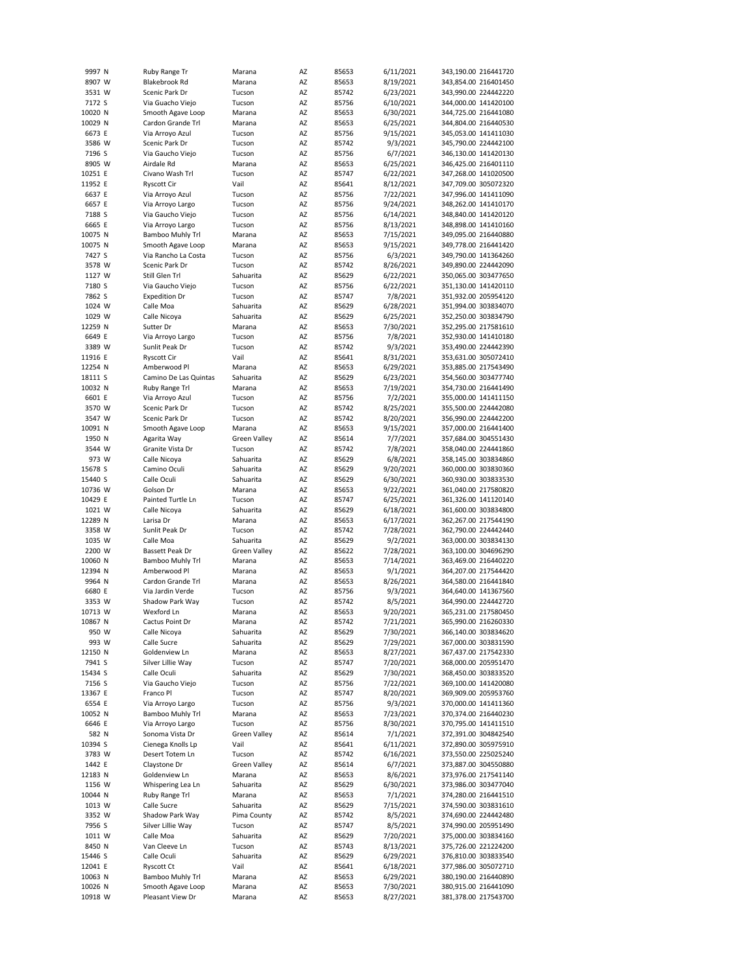| 9997 N             | Ruby Range Tr                         | Marana              | AZ       | 85653          | 6/11/2021              | 343,190.00 216441720                         |
|--------------------|---------------------------------------|---------------------|----------|----------------|------------------------|----------------------------------------------|
| 8907 W             | Blakebrook Rd                         | Marana              | AZ       | 85653          | 8/19/2021              | 343,854.00 216401450                         |
| 3531 W             | Scenic Park Dr                        | Tucson              | ΑZ       | 85742          | 6/23/2021              | 343,990.00 224442220                         |
| 7172 S             | Via Guacho Viejo                      | Tucson              | AZ       | 85756          | 6/10/2021              | 344,000.00 141420100                         |
| 10020 N            | Smooth Agave Loop                     | Marana              | AZ       | 85653          | 6/30/2021              | 344,725.00 216441080                         |
| 10029 N            | Cardon Grande Trl                     | Marana              | AZ       | 85653          | 6/25/2021              | 344,804.00 216440530                         |
| 6673 E             | Via Arroyo Azul                       | Tucson              | AZ       | 85756          | 9/15/2021              | 345,053.00 141411030                         |
| 3586 W             | Scenic Park Dr                        | Tucson              | AZ       | 85742          | 9/3/2021               | 345,790.00 224442100                         |
| 7196 S             | Via Gaucho Viejo                      | Tucson              | AZ       | 85756          | 6/7/2021               | 346,130.00 141420130                         |
| 8905 W             | Airdale Rd                            | Marana              | AZ       | 85653          | 6/25/2021              | 346,425.00 216401110                         |
|                    | Civano Wash Trl                       | Tucson              |          |                |                        |                                              |
| 10251 E            |                                       |                     | AZ       | 85747          | 6/22/2021              | 347,268.00 141020500                         |
| 11952 E            | <b>Ryscott Cir</b>                    | Vail                | AZ       | 85641          | 8/12/2021              | 347,709.00 305072320                         |
| 6637 E             | Via Arroyo Azul                       | Tucson              | AZ       | 85756          | 7/22/2021              | 347,996.00 141411090                         |
| 6657 E             | Via Arroyo Largo                      | Tucson              | AZ       | 85756          | 9/24/2021              | 348,262.00 141410170                         |
| 7188 S             | Via Gaucho Viejo                      | Tucson              | AZ       | 85756          | 6/14/2021              | 348,840.00 141420120                         |
| 6665 E             | Via Arroyo Largo                      | Tucson              | AZ       | 85756          | 8/13/2021              | 348,898.00 141410160                         |
| 10075 N            | Bamboo Muhly Trl                      | Marana              | AZ       | 85653          | 7/15/2021              | 349,095.00 216440880                         |
| 10075 N            | Smooth Agave Loop                     | Marana              | AZ       | 85653          | 9/15/2021              | 349,778.00 216441420                         |
| 7427 S             | Via Rancho La Costa                   | Tucson              | AZ       | 85756          | 6/3/2021               | 349,790.00 141364260                         |
| 3578 W             | Scenic Park Dr                        | Tucson              | AZ       | 85742          | 8/26/2021              | 349,890.00 224442090                         |
| 1127 W             | Still Glen Trl                        | Sahuarita           | AZ       | 85629          | 6/22/2021              | 350,065.00 303477650                         |
| 7180 S             | Via Gaucho Viejo                      | Tucson              | AZ       | 85756          | 6/22/2021              | 351,130.00 141420110                         |
| 7862 S             | <b>Expedition Dr</b>                  | Tucson              | AZ       | 85747          | 7/8/2021               | 351,932.00 205954120                         |
| 1024 W             | Calle Moa                             | Sahuarita           | AZ       | 85629          | 6/28/2021              | 351,994.00 303834070                         |
| 1029 W             |                                       |                     |          |                |                        |                                              |
|                    | Calle Nicoya                          | Sahuarita           | AZ       | 85629          | 6/25/2021              | 352,250.00 303834790                         |
| 12259 N            | Sutter Dr                             | Marana              | AZ       | 85653          | 7/30/2021              | 352,295.00 217581610                         |
| 6649 E             | Via Arroyo Largo                      | Tucson              | AZ       | 85756          | 7/8/2021               | 352,930.00 141410180                         |
| 3389 W             | Sunlit Peak Dr                        | Tucson              | AZ       | 85742          | 9/3/2021               | 353,490.00 224442390                         |
| 11916 E            | <b>Ryscott Cir</b>                    | Vail                | AZ       | 85641          | 8/31/2021              | 353,631.00 305072410                         |
| 12254 N            | Amberwood Pl                          | Marana              | ΑZ       | 85653          | 6/29/2021              | 353,885.00 217543490                         |
| 18111 S            | Camino De Las Quintas                 | Sahuarita           | AZ       | 85629          | 6/23/2021              | 354,560.00 303477740                         |
| 10032 N            | Ruby Range Trl                        | Marana              | AZ       | 85653          | 7/19/2021              | 354,730.00 216441490                         |
| 6601 E             | Via Arroyo Azul                       | Tucson              | AZ       | 85756          | 7/2/2021               | 355,000.00 141411150                         |
| 3570 W             | Scenic Park Dr                        | Tucson              | AZ       | 85742          | 8/25/2021              | 355,500.00 224442080                         |
| 3547 W             | Scenic Park Dr                        | Tucson              | AZ       | 85742          | 8/20/2021              | 356,990.00 224442200                         |
|                    |                                       |                     |          |                |                        |                                              |
| 10091 N            | Smooth Agave Loop                     | Marana              | AZ       | 85653          | 9/15/2021              | 357,000.00 216441400                         |
| 1950 N             | Agarita Way                           | <b>Green Valley</b> | ΑZ       | 85614          | 7/7/2021               | 357,684.00 304551430                         |
| 3544 W             | Granite Vista Dr                      | Tucson              | AZ       | 85742          | 7/8/2021               | 358,040.00 224441860                         |
| 973 W              | Calle Nicoya                          | Sahuarita           | AZ       | 85629          | 6/8/2021               | 358,145.00 303834860                         |
| 15678 S            | Camino Oculi                          | Sahuarita           | AZ       | 85629          | 9/20/2021              | 360,000.00 303830360                         |
| 15440 S            | Calle Oculi                           | Sahuarita           | AZ       | 85629          | 6/30/2021              | 360,930.00 303833530                         |
| 10736 W            | Golson Dr                             | Marana              | AZ       | 85653          | 9/22/2021              | 361,040.00 217580820                         |
| 10429 E            | Painted Turtle Ln                     | Tucson              | AZ       | 85747          | 6/25/2021              | 361,326.00 141120140                         |
| 1021 W             | Calle Nicoya                          | Sahuarita           | AZ       | 85629          | 6/18/2021              | 361,600.00 303834800                         |
| 12289 N            | Larisa Dr                             | Marana              | AZ       | 85653          | 6/17/2021              | 362,267.00 217544190                         |
| 3358 W             | Sunlit Peak Dr                        | Tucson              | AZ       | 85742          | 7/28/2021              |                                              |
| 1035 W             |                                       |                     |          |                |                        |                                              |
| 2200 W             |                                       |                     |          |                |                        | 362,790.00 224442440                         |
|                    | Calle Moa                             | Sahuarita           | AZ       | 85629          | 9/2/2021               | 363,000.00 303834130                         |
|                    | Bassett Peak Dr                       | Green Valley        | ΑZ       | 85622          | 7/28/2021              | 363,100.00 304696290                         |
| 10060 N            | <b>Bamboo Muhly Trl</b>               | Marana              | AZ       | 85653          | 7/14/2021              | 363,469.00 216440220                         |
| 12394 N            | Amberwood Pl                          | Marana              | AZ       | 85653          | 9/1/2021               | 364,207.00 217544420                         |
| 9964 N             | Cardon Grande Trl                     | Marana              | AZ       | 85653          | 8/26/2021              | 364,580.00 216441840                         |
| 6680 E             | Via Jardin Verde                      | Tucson              | AZ       | 85756          | 9/3/2021               | 364,640.00 141367560                         |
| 3353 W             | Shadow Park Way                       | Tucson              | ΑZ       | 85742          | 8/5/2021               | 364,990.00 224442720                         |
| 10713 W            | Wexford Ln                            | Marana              | AZ       | 85653          | 9/20/2021              | 365,231.00 217580450                         |
| 10867 N            | Cactus Point Dr                       | Marana              | ΑZ       | 85742          | 7/21/2021              | 365,990.00 216260330                         |
| 950 W              | Calle Nicoya                          | Sahuarita           | AZ       | 85629          | 7/30/2021              | 366,140.00 303834620                         |
| 993 W              | Calle Sucre                           | Sahuarita           | AZ       | 85629          | 7/29/2021              | 367,000.00 303831590                         |
|                    | Goldenview Ln                         |                     |          |                |                        | 367,437.00 217542330                         |
| 12150 N            |                                       | Marana<br>Tucson    | AZ       | 85653          | 8/27/2021              |                                              |
| 7941 S             | Silver Lillie Way                     |                     | AZ       | 85747          | 7/20/2021              | 368,000.00 205951470                         |
| 15434 S            | Calle Oculi                           | Sahuarita           | AZ       | 85629          | 7/30/2021              | 368,450.00 303833520                         |
| 7156 S             | Via Gaucho Viejo                      | Tucson              | AZ       | 85756          | 7/22/2021              | 369,100.00 141420080                         |
| 13367 E            | Franco Pl                             | Tucson              | AZ       | 85747          | 8/20/2021              | 369,909.00 205953760                         |
| 6554 E             | Via Arroyo Largo                      | Tucson              | AZ       | 85756          | 9/3/2021               | 370,000.00 141411360                         |
| 10052 N            | Bamboo Muhly Trl                      | Marana              | ΑZ       | 85653          | 7/23/2021              | 370,374.00 216440230                         |
| 6646 E             | Via Arroyo Largo                      | Tucson              | AZ       | 85756          | 8/30/2021              | 370,795.00 141411510                         |
| 582 N              | Sonoma Vista Dr                       | <b>Green Valley</b> | ΑZ       | 85614          | 7/1/2021               | 372,391.00 304842540                         |
| 10394 S            | Cienega Knolls Lp                     | Vail                | AZ       | 85641          | 6/11/2021              | 372,890.00 305975910                         |
| 3783 W             | Desert Totem Ln                       | Tucson              | AZ       | 85742          | 6/16/2021              | 373,550.00 225025240                         |
| 1442 E             | Claystone Dr                          | <b>Green Valley</b> | AZ       | 85614          | 6/7/2021               | 373,887.00 304550880                         |
| 12183 N            | Goldenview Ln                         | Marana              | AZ       | 85653          | 8/6/2021               | 373,976.00 217541140                         |
| 1156 W             | Whispering Lea Ln                     | Sahuarita           | ΑZ       | 85629          | 6/30/2021              | 373,986.00 303477040                         |
|                    | Ruby Range Trl                        | Marana              |          |                |                        |                                              |
| 10044 N            |                                       |                     | ΑZ       | 85653          | 7/1/2021               | 374,280.00 216441510                         |
| 1013 W             | Calle Sucre                           | Sahuarita           | AZ       | 85629          | 7/15/2021              | 374,590.00 303831610                         |
| 3352 W             | Shadow Park Way                       | Pima County         | ΑZ       | 85742          | 8/5/2021               | 374,690.00 224442480                         |
| 7956 S             | Silver Lillie Way                     | Tucson              | ΑZ       | 85747          | 8/5/2021               | 374,990.00 205951490                         |
| 1011 W             | Calle Moa                             | Sahuarita           | AZ       | 85629          | 7/20/2021              | 375,000.00 303834160                         |
| 8450 N             | Van Cleeve Ln                         | Tucson              | AZ       | 85743          | 8/13/2021              | 375,726.00 221224200                         |
| 15446 S            | Calle Oculi                           | Sahuarita           | AZ       | 85629          | 6/29/2021              | 376,810.00 303833540                         |
| 12041 E            | Ryscott Ct                            | Vail                | AZ       | 85641          | 6/18/2021              | 377,986.00 305072710                         |
| 10063 N            | Bamboo Muhly Trl                      | Marana              | AZ       | 85653          | 6/29/2021              | 380,190.00 216440890                         |
| 10026 N<br>10918 W | Smooth Agave Loop<br>Pleasant View Dr | Marana<br>Marana    | AZ<br>ΑZ | 85653<br>85653 | 7/30/2021<br>8/27/2021 | 380,915.00 216441090<br>381,378.00 217543700 |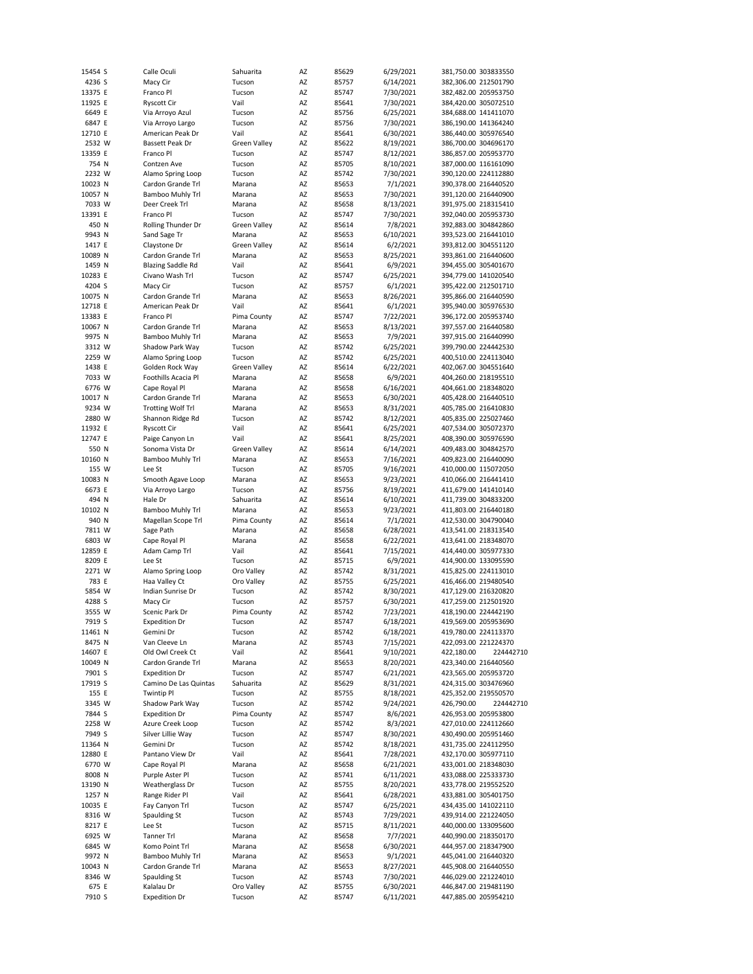| 15454 S         | Calle Oculi                        | Sahuarita            | AZ       | 85629          | 6/29/2021              |                      | 381,750.00 303833550                         |
|-----------------|------------------------------------|----------------------|----------|----------------|------------------------|----------------------|----------------------------------------------|
| 4236 S          | Macy Cir                           | Tucson               | AZ       | 85757          | 6/14/2021              |                      | 382,306.00 212501790                         |
| 13375 E         | Franco Pl                          | Tucson               | AZ       | 85747          | 7/30/2021              | 382,482.00 205953750 |                                              |
| 11925 E         | <b>Ryscott Cir</b>                 | Vail                 | AZ       | 85641          | 7/30/2021              | 384,420.00 305072510 |                                              |
| 6649 E          | Via Arroyo Azul                    | Tucson               | AZ       | 85756          | 6/25/2021              | 384,688.00 141411070 |                                              |
| 6847 E          | Via Arroyo Largo                   | Tucson               | AZ       | 85756          | 7/30/2021              |                      | 386,190.00 141364240                         |
| 12710 E         | American Peak Dr                   | Vail                 | AZ       | 85641          | 6/30/2021              | 386,440.00 305976540 |                                              |
|                 |                                    |                      |          |                |                        |                      |                                              |
| 2532 W          | Bassett Peak Dr                    | <b>Green Valley</b>  | AZ       | 85622          | 8/19/2021              |                      | 386,700.00 304696170                         |
| 13359 E         | Franco Pl                          | Tucson               | AZ       | 85747          | 8/12/2021              |                      | 386,857.00 205953770                         |
| 754 N           | Contzen Ave                        | Tucson               | AZ       | 85705          | 8/10/2021              |                      | 387,000.00 116161090                         |
| 2232 W          | Alamo Spring Loop                  | Tucson               | AZ       | 85742          | 7/30/2021              |                      | 390,120.00 224112880                         |
| 10023 N         | Cardon Grande Trl                  | Marana               | AZ       | 85653          | 7/1/2021               |                      | 390,378.00 216440520                         |
|                 |                                    |                      |          |                |                        |                      | 391,120.00 216440900                         |
| 10057 N         | Bamboo Muhly Trl                   | Marana               | AZ       | 85653          | 7/30/2021              |                      |                                              |
| 7033 W          | Deer Creek Trl                     | Marana               | AZ       | 85658          | 8/13/2021              |                      | 391,975.00 218315410                         |
| 13391 E         | Franco Pl                          | Tucson               | AZ       | 85747          | 7/30/2021              |                      | 392,040.00 205953730                         |
| 450 N           | Rolling Thunder Dr                 | Green Valley         | AZ       | 85614          | 7/8/2021               |                      | 392,883.00 304842860                         |
| 9943 N          | Sand Sage Tr                       | Marana               | AZ       | 85653          | 6/10/2021              | 393,523.00 216441010 |                                              |
| 1417 E          | Claystone Dr                       | Green Valley         | AZ       | 85614          | 6/2/2021               |                      | 393,812.00 304551120                         |
|                 |                                    |                      |          |                |                        |                      |                                              |
| 10089 N         | Cardon Grande Trl                  | Marana               | AZ       | 85653          | 8/25/2021              |                      | 393,861.00 216440600                         |
| 1459 N          | <b>Blazing Saddle Rd</b>           | Vail                 | AZ       | 85641          | 6/9/2021               |                      | 394,455.00 305401670                         |
| 10283 E         | Civano Wash Trl                    | Tucson               | AZ       | 85747          | 6/25/2021              | 394,779.00 141020540 |                                              |
| 4204 S          | Macy Cir                           | Tucson               | AZ       | 85757          | 6/1/2021               | 395,422.00 212501710 |                                              |
| 10075 N         | Cardon Grande Trl                  | Marana               | AZ       | 85653          | 8/26/2021              | 395,866.00 216440590 |                                              |
| 12718 E         | American Peak Dr                   | Vail                 | AZ       | 85641          | 6/1/2021               | 395,940.00 305976530 |                                              |
|                 |                                    |                      |          |                |                        |                      |                                              |
| 13383 E         | Franco Pl                          | Pima County          | AZ       | 85747          | 7/22/2021              | 396,172.00 205953740 |                                              |
| 10067 N         | Cardon Grande Trl                  | Marana               | AZ       | 85653          | 8/13/2021              | 397,557.00 216440580 |                                              |
| 9975 N          | <b>Bamboo Muhly Trl</b>            | Marana               | AZ       | 85653          | 7/9/2021               |                      | 397,915.00 216440990                         |
| 3312 W          | Shadow Park Way                    | Tucson               | AZ       | 85742          | 6/25/2021              | 399,790.00 224442530 |                                              |
| 2259 W          | Alamo Spring Loop                  | Tucson               | AZ       | 85742          | 6/25/2021              | 400,510.00 224113040 |                                              |
|                 |                                    |                      |          |                |                        |                      |                                              |
| 1438 E          | Golden Rock Way                    | <b>Green Valley</b>  | AZ       | 85614          | 6/22/2021              | 402,067.00 304551640 |                                              |
| 7033 W          | Foothills Acacia Pl                | Marana               | AZ       | 85658          | 6/9/2021               |                      | 404,260.00 218195510                         |
| 6776 W          | Cape Royal Pl                      | Marana               | AZ       | 85658          | 6/16/2021              | 404,661.00 218348020 |                                              |
| 10017 N         | Cardon Grande Trl                  | Marana               | AZ       | 85653          | 6/30/2021              |                      | 405,428.00 216440510                         |
| 9234 W          | <b>Trotting Wolf Trl</b>           | Marana               | AZ       | 85653          | 8/31/2021              |                      | 405,785.00 216410830                         |
|                 |                                    |                      |          | 85742          |                        |                      |                                              |
| 2880 W          | Shannon Ridge Rd                   | Tucson               | AZ       |                | 8/12/2021              |                      | 405,835.00 225027460                         |
| 11932 E         | <b>Ryscott Cir</b>                 | Vail                 | AZ       | 85641          | 6/25/2021              | 407,534.00 305072370 |                                              |
| 12747 E         | Paige Canyon Ln                    | Vail                 | AZ       | 85641          | 8/25/2021              |                      | 408,390.00 305976590                         |
| 550 N           | Sonoma Vista Dr                    | Green Valley         | AZ       | 85614          | 6/14/2021              | 409,483.00 304842570 |                                              |
| 10160 N         | Bamboo Muhly Trl                   | Marana               | AZ       | 85653          | 7/16/2021              |                      | 409,823.00 216440090                         |
| 155 W           | Lee St                             | Tucson               | AZ       | 85705          | 9/16/2021              | 410,000.00 115072050 |                                              |
|                 |                                    |                      |          |                |                        |                      |                                              |
| 10083 N         | Smooth Agave Loop                  | Marana               | AZ       | 85653          | 9/23/2021              |                      | 410,066.00 216441410                         |
| 6673 E          | Via Arroyo Largo                   | Tucson               | AZ       | 85756          | 8/19/2021              | 411,679.00 141410140 |                                              |
| 494 N           | Hale Dr                            | Sahuarita            | AZ       | 85614          | 6/10/2021              | 411,739.00 304833200 |                                              |
| 10102 N         | <b>Bamboo Muhly Trl</b>            | Marana               | AZ       | 85653          | 9/23/2021              | 411,803.00 216440180 |                                              |
| 940 N           | Magellan Scope Trl                 | Pima County          | AZ       | 85614          | 7/1/2021               | 412,530.00 304790040 |                                              |
|                 |                                    |                      |          |                |                        |                      |                                              |
| 7811 W          | Sage Path                          | Marana               | AZ       | 85658          | 6/28/2021              | 413,541.00 218313540 |                                              |
| 6803 W          | Cape Royal Pl                      | Marana               | AZ       | 85658          | 6/22/2021              | 413,641.00 218348070 |                                              |
| 12859 E         | Adam Camp Trl                      | Vail                 | AZ       | 85641          | 7/15/2021              | 414,440.00 305977330 |                                              |
| 8209 E          | Lee St                             | Tucson               | AZ       | 85715          | 6/9/2021               | 414,900.00 133095590 |                                              |
| 2271 W          | Alamo Spring Loop                  | Oro Valley           | AZ       | 85742          | 8/31/2021              | 415,825.00 224113010 |                                              |
| 783 E           | Haa Valley Ct                      | Oro Valley           | AZ       | 85755          |                        | 416,466.00 219480540 |                                              |
|                 |                                    |                      |          |                | 6/25/2021              |                      |                                              |
| 5854 W          | Indian Sunrise Dr                  | Tucson               | AZ       | 85742          | 8/30/2021              |                      | 417,129.00 216320820                         |
| 4288 S          | Macy Cir                           | Tucson               | AZ       | 85757          | 6/30/2021              | 417,259.00 212501920 |                                              |
| 3555 W          | Scenic Park Dr                     | Pima County          | AZ       | 85742          | 7/23/2021              |                      | 418,190.00 224442190                         |
| 7919 S          | <b>Expedition Dr</b>               | Tucson               | AZ       | 85747          | 6/18/2021              |                      | 419,569.00 205953690                         |
| 11461 N         | Gemini Dr                          | Tucson               | AZ       | 85742          | 6/18/2021              |                      | 419,780.00 224113370                         |
|                 |                                    |                      |          |                | 7/15/2021              |                      | 422,093.00 221224370                         |
| 8475 N          | Van Cleeve Ln                      | Marana               | AZ       | 85743          |                        |                      |                                              |
| 14607 E         | Old Owl Creek Ct                   | Vail                 | AZ       | 85641          | 9/10/2021              | 422,180.00           | 224442710                                    |
| 10049 N         | Cardon Grande Trl                  | Marana               | AZ       | 85653          | 8/20/2021              |                      | 423,340.00 216440560                         |
| 7901 S          | <b>Expedition Dr</b>               | Tucson               | AZ       | 85747          | 6/21/2021              |                      | 423,565.00 205953720                         |
| 17919 S         | Camino De Las Quintas              | Sahuarita            | AZ       | 85629          | 8/31/2021              |                      | 424,315.00 303476960                         |
| 155 E           | <b>Twintip Pl</b>                  | Tucson               | AZ       | 85755          | 8/18/2021              |                      | 425,352.00 219550570                         |
|                 | Shadow Park Way                    |                      |          |                |                        |                      |                                              |
| 3345 W          |                                    | Tucson               | AZ       | 85742          | 9/24/2021              | 426,790.00           | 224442710                                    |
| 7844 S          | <b>Expedition Dr</b>               | Pima County          | AZ       | 85747          | 8/6/2021               | 426,953.00 205953800 |                                              |
| 2258 W          | Azure Creek Loop                   | Tucson               | AZ       | 85742          | 8/3/2021               |                      | 427,010.00 224112660                         |
| 7949 S          | Silver Lillie Way                  | Tucson               | AZ       | 85747          | 8/30/2021              |                      | 430,490.00 205951460                         |
| 11364 N         | Gemini Dr                          | Tucson               | AZ       | 85742          | 8/18/2021              |                      | 431,735.00 224112950                         |
| 12880 E         | Pantano View Dr                    | Vail                 | AZ       | 85641          | 7/28/2021              |                      | 432,170.00 305977110                         |
|                 |                                    |                      |          |                |                        |                      |                                              |
| 6770 W          | Cape Royal Pl                      | Marana               | AZ       | 85658          | 6/21/2021              |                      | 433,001.00 218348030                         |
| 8008 N          | Purple Aster Pl                    | Tucson               | AZ       | 85741          | 6/11/2021              |                      | 433,088.00 225333730                         |
| 13190 N         | Weatherglass Dr                    | Tucson               | AZ       | 85755          | 8/20/2021              |                      | 433,778.00 219552520                         |
| 1257 N          | Range Rider Pl                     | Vail                 | AZ       | 85641          | 6/28/2021              |                      | 433,881.00 305401750                         |
| 10035 E         | Fay Canyon Trl                     | Tucson               | AZ       | 85747          | 6/25/2021              |                      | 434,435.00 141022110                         |
|                 |                                    |                      |          |                |                        |                      |                                              |
| 8316 W          | Spaulding St                       | Tucson               | AZ       | 85743          | 7/29/2021              |                      | 439,914.00 221224050                         |
| 8217 E          | Lee St                             | Tucson               | AZ       | 85715          | 8/11/2021              |                      | 440,000.00 133095600                         |
| 6925 W          | Tanner Trl                         | Marana               | ΑZ       | 85658          | 7/7/2021               |                      | 440,990.00 218350170                         |
| 6845 W          | Komo Point Trl                     | Marana               | AZ       | 85658          | 6/30/2021              |                      | 444,957.00 218347900                         |
|                 | Bamboo Muhly Trl                   | Marana               | AZ       | 85653          | 9/1/2021               |                      | 445,041.00 216440320                         |
|                 |                                    |                      |          |                |                        |                      |                                              |
| 9972 N          |                                    |                      |          |                |                        |                      |                                              |
| 10043 N         | Cardon Grande Trl                  | Marana               | ΑZ       | 85653          | 8/27/2021              |                      | 445,908.00 216440550                         |
| 8346 W          | Spaulding St                       | Tucson               | AZ       | 85743          | 7/30/2021              |                      | 446,029.00 221224010                         |
| 675 E<br>7910 S | Kalalau Dr<br><b>Expedition Dr</b> | Oro Valley<br>Tucson | AZ<br>AZ | 85755<br>85747 | 6/30/2021<br>6/11/2021 |                      | 446,847.00 219481190<br>447,885.00 205954210 |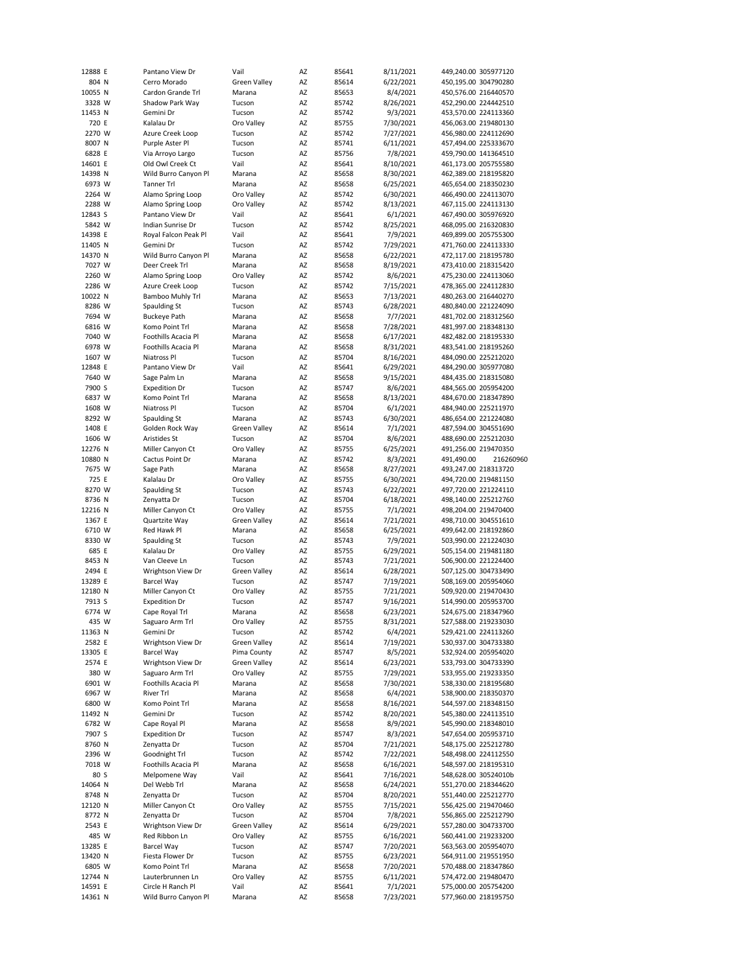| 12888 E | Pantano View Dr      | Vail                | AZ | 85641 | 8/11/2021 | 449,240.00 305977120 |                      |
|---------|----------------------|---------------------|----|-------|-----------|----------------------|----------------------|
|         |                      |                     |    |       |           |                      |                      |
| 804 N   | Cerro Morado         | Green Valley        | AZ | 85614 | 6/22/2021 | 450,195.00 304790280 |                      |
| 10055 N | Cardon Grande Trl    | Marana              | AZ | 85653 | 8/4/2021  | 450,576.00 216440570 |                      |
| 3328 W  | Shadow Park Way      | Tucson              | AZ | 85742 | 8/26/2021 | 452,290.00 224442510 |                      |
| 11453 N | Gemini Dr            | Tucson              | AZ | 85742 | 9/3/2021  | 453,570.00 224113360 |                      |
| 720 E   | Kalalau Dr           | Oro Valley          | AZ | 85755 | 7/30/2021 | 456,063.00 219480130 |                      |
| 2270 W  | Azure Creek Loop     | Tucson              | AZ | 85742 | 7/27/2021 | 456,980.00 224112690 |                      |
| 8007 N  | Purple Aster Pl      | Tucson              | AZ | 85741 | 6/11/2021 | 457,494.00 225333670 |                      |
|         |                      |                     |    |       |           |                      |                      |
| 6828 E  | Via Arroyo Largo     | Tucson              | AZ | 85756 | 7/8/2021  | 459,790.00 141364510 |                      |
| 14601 E | Old Owl Creek Ct     | Vail                | AZ | 85641 | 8/10/2021 | 461,173.00 205755580 |                      |
| 14398 N | Wild Burro Canyon Pl | Marana              | AZ | 85658 | 8/30/2021 | 462,389.00 218195820 |                      |
| 6973 W  | Tanner Trl           | Marana              | AZ | 85658 | 6/25/2021 | 465,654.00 218350230 |                      |
| 2264 W  | Alamo Spring Loop    | Oro Valley          | AZ | 85742 | 6/30/2021 | 466,490.00 224113070 |                      |
| 2288 W  | Alamo Spring Loop    | Oro Valley          | AZ | 85742 | 8/13/2021 | 467,115.00 224113130 |                      |
| 12843 S | Pantano View Dr      | Vail                | AZ | 85641 | 6/1/2021  | 467,490.00 305976920 |                      |
| 5842 W  | Indian Sunrise Dr    | Tucson              | AZ | 85742 | 8/25/2021 | 468,095.00 216320830 |                      |
|         |                      |                     |    |       |           |                      |                      |
| 14398 E | Royal Falcon Peak Pl | Vail                | AZ | 85641 | 7/9/2021  | 469,899.00 205755300 |                      |
| 11405 N | Gemini Dr            | Tucson              | AZ | 85742 | 7/29/2021 | 471,760.00 224113330 |                      |
| 14370 N | Wild Burro Canyon Pl | Marana              | AZ | 85658 | 6/22/2021 | 472,117.00 218195780 |                      |
| 7027 W  | Deer Creek Trl       | Marana              | AZ | 85658 | 8/19/2021 | 473,410.00 218315420 |                      |
| 2260 W  | Alamo Spring Loop    | Oro Valley          | AZ | 85742 | 8/6/2021  | 475,230.00 224113060 |                      |
| 2286 W  | Azure Creek Loop     | Tucson              | AZ | 85742 | 7/15/2021 | 478,365.00 224112830 |                      |
| 10022 N | Bamboo Muhly Trl     | Marana              | AZ | 85653 | 7/13/2021 | 480,263.00 216440270 |                      |
|         |                      |                     |    |       |           |                      |                      |
| 8286 W  | Spaulding St         | Tucson              | AZ | 85743 | 6/28/2021 | 480,840.00 221224090 |                      |
| 7694 W  | <b>Buckeye Path</b>  | Marana              | AZ | 85658 | 7/7/2021  | 481,702.00 218312560 |                      |
| 6816 W  | Komo Point Trl       | Marana              | AZ | 85658 | 7/28/2021 | 481,997.00 218348130 |                      |
| 7040 W  | Foothills Acacia Pl  | Marana              | AZ | 85658 | 6/17/2021 | 482,482.00 218195330 |                      |
| 6978 W  | Foothills Acacia Pl  | Marana              | AZ | 85658 | 8/31/2021 | 483,541.00 218195260 |                      |
| 1607 W  | Niatross Pl          | Tucson              | AZ | 85704 | 8/16/2021 | 484,090.00 225212020 |                      |
| 12848 E | Pantano View Dr      | Vail                | AZ | 85641 | 6/29/2021 |                      |                      |
|         |                      |                     |    |       |           | 484,290.00 305977080 |                      |
| 7640 W  | Sage Palm Ln         | Marana              | AZ | 85658 | 9/15/2021 | 484,435.00 218315080 |                      |
| 7900 S  | <b>Expedition Dr</b> | Tucson              | AZ | 85747 | 8/6/2021  | 484,565.00 205954200 |                      |
| 6837 W  | Komo Point Trl       | Marana              | AZ | 85658 | 8/13/2021 | 484,670.00 218347890 |                      |
| 1608 W  | Niatross Pl          | Tucson              | AZ | 85704 | 6/1/2021  | 484,940.00 225211970 |                      |
| 8292 W  | Spaulding St         | Marana              | AZ | 85743 | 6/30/2021 | 486,654.00 221224080 |                      |
| 1408 E  | Golden Rock Way      | <b>Green Valley</b> | AZ | 85614 | 7/1/2021  | 487,594.00 304551690 |                      |
| 1606 W  | Aristides St         | Tucson              | AZ | 85704 | 8/6/2021  | 488,690.00 225212030 |                      |
|         |                      |                     |    |       |           |                      |                      |
| 12276 N | Miller Canyon Ct     | Oro Valley          | AZ | 85755 | 6/25/2021 | 491,256.00 219470350 |                      |
| 10880 N | Cactus Point Dr      | Marana              | AZ | 85742 | 8/3/2021  | 491,490.00           | 216260960            |
| 7675 W  | Sage Path            | Marana              | AZ | 85658 | 8/27/2021 | 493,247.00 218313720 |                      |
| 725 E   | Kalalau Dr           | Oro Valley          | AZ | 85755 | 6/30/2021 | 494,720.00 219481150 |                      |
| 8270 W  | Spaulding St         | Tucson              | AZ | 85743 | 6/22/2021 | 497,720.00 221224110 |                      |
| 8736 N  | Zenyatta Dr          | Tucson              | AZ | 85704 | 6/18/2021 | 498,140.00 225212760 |                      |
| 12216 N | Miller Canyon Ct     | Oro Valley          | AZ | 85755 | 7/1/2021  | 498,204.00 219470400 |                      |
| 1367 E  |                      |                     | AZ | 85614 |           |                      |                      |
|         | Quartzite Way        | <b>Green Valley</b> |    |       | 7/21/2021 | 498,710.00 304551610 |                      |
| 6710 W  | Red Hawk Pl          | Marana              | AZ | 85658 | 6/25/2021 | 499,642.00 218192860 |                      |
| 8330 W  | Spaulding St         | Tucson              | AZ | 85743 | 7/9/2021  | 503,990.00 221224030 |                      |
| 685 E   | Kalalau Dr           | Oro Valley          | AZ | 85755 | 6/29/2021 | 505,154.00 219481180 |                      |
| 8453 N  | Van Cleeve Ln        | Tucson              | AZ | 85743 | 7/21/2021 | 506,900.00 221224400 |                      |
| 2494 E  | Wrightson View Dr    | <b>Green Valley</b> | AZ | 85614 | 6/28/2021 | 507,125.00 304733490 |                      |
| 13289 E | <b>Barcel Way</b>    | Tucson              | AZ | 85747 | 7/19/2021 | 508,169.00 205954060 |                      |
|         |                      |                     |    |       |           |                      |                      |
| 12180 N | Miller Canyon Ct     | Oro Valley          | AZ | 85755 | 7/21/2021 | 509,920.00 219470430 |                      |
| 7913 S  | <b>Expedition Dr</b> | Tucson              | AZ | 85747 | 9/16/2021 | 514,990.00 205953700 |                      |
| 6774 W  | Cape Royal Trl       | Marana              | AZ | 85658 | 6/23/2021 | 524,675.00 218347960 |                      |
| 435 W   | Saguaro Arm Trl      | Oro Valley          | AZ | 85755 | 8/31/2021 | 527,588.00 219233030 |                      |
| 11363 N | Gemini Dr            | Tucson              | ΑZ | 85742 | 6/4/2021  | 529,421.00 224113260 |                      |
| 2582 E  | Wrightson View Dr    | <b>Green Valley</b> | AZ | 85614 | 7/19/2021 | 530,937.00 304733380 |                      |
| 13305 E | <b>Barcel Way</b>    | Pima County         | AZ | 85747 | 8/5/2021  | 532,924.00 205954020 |                      |
|         | Wrightson View Dr    |                     | AZ |       |           | 533,793.00 304733390 |                      |
| 2574 E  |                      | Green Valley        |    | 85614 | 6/23/2021 |                      |                      |
| 380 W   | Saguaro Arm Trl      | Oro Valley          | AZ | 85755 | 7/29/2021 | 533,955.00 219233350 |                      |
| 6901 W  | Foothills Acacia Pl  | Marana              | AZ | 85658 | 7/30/2021 | 538,330.00 218195680 |                      |
| 6967 W  | River Trl            | Marana              | AZ | 85658 | 6/4/2021  | 538,900.00 218350370 |                      |
| 6800 W  | Komo Point Trl       | Marana              | AZ | 85658 | 8/16/2021 | 544,597.00 218348150 |                      |
| 11492 N | Gemini Dr            | Tucson              | AZ | 85742 | 8/20/2021 | 545,380.00 224113510 |                      |
| 6782 W  | Cape Royal Pl        | Marana              | AZ |       | 8/9/2021  | 545,990.00 218348010 |                      |
|         |                      | Tucson              |    | 85658 |           |                      |                      |
| 7907 S  | <b>Expedition Dr</b> |                     |    |       |           |                      | 547,654.00 205953710 |
| 8760 N  |                      |                     | AZ | 85747 | 8/3/2021  |                      |                      |
| 2396 W  | Zenyatta Dr          | Tucson              | AZ | 85704 | 7/21/2021 | 548,175.00 225212780 |                      |
| 7018 W  | Goodnight Trl        | Tucson              | AZ | 85742 | 7/22/2021 | 548,498.00 224112550 |                      |
|         | Foothills Acacia Pl  | Marana              | AZ | 85658 | 6/16/2021 | 548,597.00 218195310 |                      |
|         |                      |                     |    |       |           |                      |                      |
| 80 S    | Melpomene Way        | Vail                | AZ | 85641 | 7/16/2021 | 548,628.00 30524010b |                      |
| 14064 N | Del Webb Trl         | Marana              | AZ | 85658 | 6/24/2021 | 551,270.00 218344620 |                      |
| 8748 N  | Zenyatta Dr          | Tucson              | AZ | 85704 | 8/20/2021 | 551,440.00 225212770 |                      |
| 12120 N | Miller Canyon Ct     | Oro Valley          | AZ | 85755 | 7/15/2021 | 556,425.00 219470460 |                      |
| 8772 N  | Zenyatta Dr          | Tucson              | AZ | 85704 | 7/8/2021  | 556,865.00 225212790 |                      |
| 2543 E  | Wrightson View Dr    | Green Valley        | AZ | 85614 | 6/29/2021 | 557,280.00 304733700 |                      |
|         | Red Ribbon Ln        |                     |    |       |           |                      |                      |
| 485 W   |                      | Oro Valley          | ΑZ | 85755 | 6/16/2021 | 560,441.00 219233200 |                      |
| 13285 E | <b>Barcel Way</b>    | Tucson              | AZ | 85747 | 7/20/2021 | 563,563.00 205954070 |                      |
| 13420 N | Fiesta Flower Dr     | Tucson              | AZ | 85755 | 6/23/2021 | 564,911.00 219551950 |                      |
| 6805 W  | Komo Point Trl       | Marana              | ΑZ | 85658 | 7/20/2021 | 570,488.00 218347860 |                      |
| 12744 N | Lauterbrunnen Ln     | Oro Valley          | AZ | 85755 | 6/11/2021 | 574,472.00 219480470 |                      |
| 14591 E | Circle H Ranch Pl    | Vail                | ΑZ | 85641 | 7/1/2021  | 575,000.00 205754200 |                      |